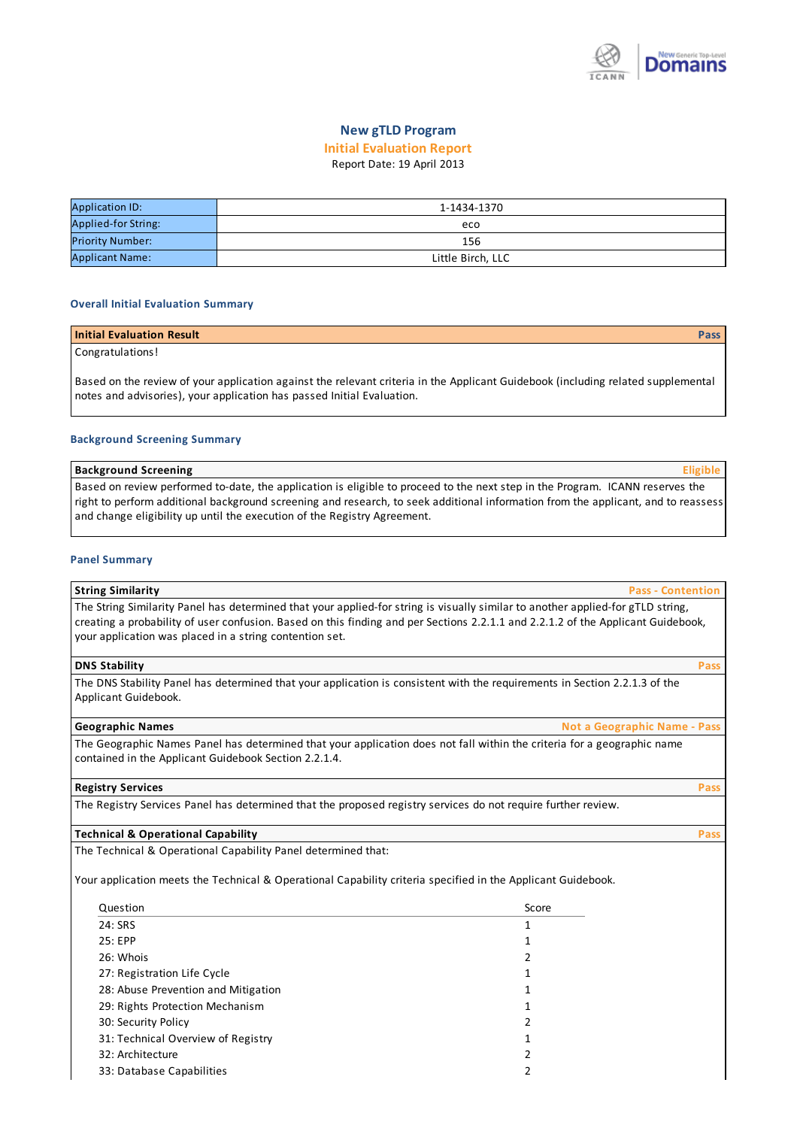

## **New gTLD Program**

# **Initial Evaluation Report**

# Report Date: 19 April 2013

| <b>Application ID:</b>  | 1-1434-1370       |
|-------------------------|-------------------|
| Applied-for String:     | eco               |
| <b>Priority Number:</b> | 156               |
| <b>Applicant Name:</b>  | Little Birch, LLC |

#### **Overall Initial Evaluation Summary**

## **Initial Evaluation Result Pass**

# Congratulations!

Based on the review of yourapplication against the relevant criteria in the Applicant Guidebook (including related supplemental notes and advisories), your application has passed Initial Evaluation.

#### **Background Screening Summary**

#### **Background Screening Eligible**

Based on review performed to-date, the application is eligible to proceed to the next step in the Program. ICANN reserves the right to perform additional background screening and research, to seek additional information from the applicant, and to reassess and change eligibility up until the execution of the Registry Agreement.

#### **Panel Summary**

#### **String Similarity Pass - Contention**

The String Similarity Panel has determined that your applied-for string is visually similar to another applied-for gTLD string, creating a probability of user confusion. Based on this finding and per Sections 2.2.1.1 and 2.2.1.2 of the Applicant Guidebook, your application was placed in a string contention set.

### **DNS Stability Pass**

The DNS Stability Panel has determined that your application is consistent with the requirements in Section 2.2.1.3 of the Applicant Guidebook.

#### **Geographic Names Not a Geographic Name - Pass**

The Geographic Names Panel has determined that your application does not fall within the criteria for a geographic name contained in the Applicant Guidebook Section 2.2.1.4.

### **Registry Services Pass**

The Registry Services Panel has determined that the proposed registry services do not require further review.

### **Technical & Operational Capability Pass**

The Technical & Operational Capability Panel determined that:

Yourapplication meets the Technical & Operational Capability criteria specified in the Applicant Guidebook.

| Question                            | Score |
|-------------------------------------|-------|
| 24: SRS                             |       |
| 25: EPP                             | 1     |
| 26: Whois                           | 2     |
| 27: Registration Life Cycle         | 1     |
| 28: Abuse Prevention and Mitigation |       |
| 29: Rights Protection Mechanism     | 1     |
| 30: Security Policy                 | 2     |
| 31: Technical Overview of Registry  |       |
| 32: Architecture                    | 2     |
| 33: Database Capabilities           |       |